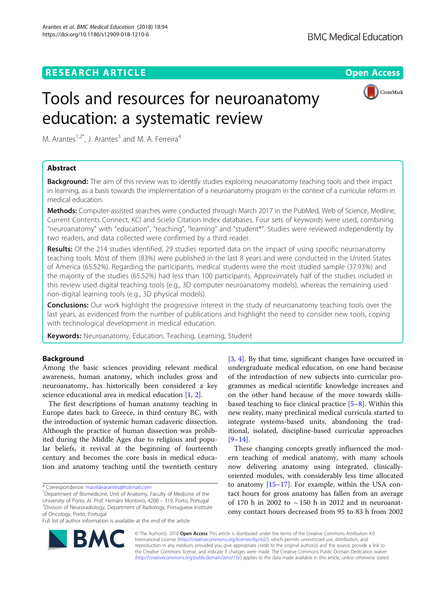# Tools and resources for neuroanatomy education: a systematic review

CrossMark

M. Arantes<sup>1,2\*</sup>, J. Arantes<sup>3</sup> and M. A. Ferreira<sup>4</sup>

# Abstract

Background: The aim of this review was to identify studies exploring neuroanatomy teaching tools and their impact in learning, as a basis towards the implementation of a neuroanatomy program in the context of a curricular reform in medical education.

Methods: Computer-assisted searches were conducted through March 2017 in the PubMed, Web of Science, Medline, Current Contents Connect, KCI and Scielo Citation Index databases. Four sets of keywords were used, combining "neuroanatomy" with "education", "teaching", "learning" and "student\*". Studies were reviewed independently by two readers, and data collected were confirmed by a third reader.

Results: Of the 214 studies identified, 29 studies reported data on the impact of using specific neuroanatomy teaching tools. Most of them (83%) were published in the last 8 years and were conducted in the United States of America (65.52%). Regarding the participants, medical students were the most studied sample (37.93%) and the majority of the studies (65.52%) had less than 100 participants. Approximately half of the studies included in this review used digital teaching tools (e.g., 3D computer neuroanatomy models), whereas the remaining used non-digital learning tools (e.g., 3D physical models).

Conclusions: Our work highlight the progressive interest in the study of neuroanatomy teaching tools over the last years, as evidenced from the number of publications and highlight the need to consider new tools, coping with technological development in medical education.

**Keywords:** Neuroanatomy, Education, Teaching, Learning, Student

## Background

Among the basic sciences providing relevant medical awareness, human anatomy, which includes gross and neuroanatomy, has historically been considered a key science educational area in medical education [\[1](#page-13-0), [2](#page-13-0)].

The first descriptions of human anatomy teaching in Europe dates back to Greece, in third century BC, with the introduction of systemic human cadaveric dissection. Although the practice of human dissection was prohibited during the Middle Ages due to religious and popular beliefs, it revival at the beginning of fourteenth century and becomes the core basis in medical education and anatomy teaching until the twentieth century

\* Correspondence: [mavildearantes@hotmail.com](mailto:mavildearantes@hotmail.com) <sup>1</sup>

Full list of author information is available at the end of the article

[[3,](#page-13-0) [4](#page-13-0)]. By that time, significant changes have occurred in undergraduate medical education, on one hand because of the introduction of new subjects into curricular programmes as medical scientific knowledge increases and on the other hand because of the move towards skillsbased teaching to face clinical practice [[5](#page-13-0)–[8\]](#page-13-0). Within this new reality, many preclinical medical curricula started to integrate systems-based units, abandoning the traditional, isolated, discipline-based curricular approaches  $[9-14]$  $[9-14]$  $[9-14]$  $[9-14]$ .

These changing concepts greatly influenced the modern teaching of medical anatomy, with many schools now delivering anatomy using integrated, clinicallyoriented modules, with considerably less time allocated to anatomy  $[15-17]$  $[15-17]$  $[15-17]$  $[15-17]$  $[15-17]$ . For example, within the USA contact hours for gross anatomy has fallen from an average of 170 h in 2002 to  $\sim$  150 h in 2012 and in neuroanatomy contact hours decreased from 95 to 83 h from 2002



© The Author(s). 2018 Open Access This article is distributed under the terms of the Creative Commons Attribution 4.0 International License [\(http://creativecommons.org/licenses/by/4.0/](http://creativecommons.org/licenses/by/4.0/)), which permits unrestricted use, distribution, and reproduction in any medium, provided you give appropriate credit to the original author(s) and the source, provide a link to the Creative Commons license, and indicate if changes were made. The Creative Commons Public Domain Dedication waiver [\(http://creativecommons.org/publicdomain/zero/1.0/](http://creativecommons.org/publicdomain/zero/1.0/)) applies to the data made available in this article, unless otherwise stated.

<sup>&</sup>lt;sup>1</sup>Department of Biomedicine, Unit of Anatomy, Faculty of Medicine of the University of Porto, Al. Prof. Hernâni Monteiro, 4200 – 319, Porto, Portugal <sup>2</sup>  $2$ Division of Neuroradiology, Department of Radiology, Portuguese Institute of Oncology, Porto, Portugal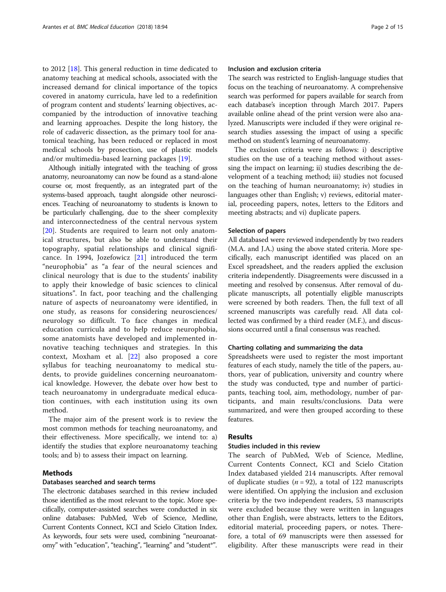to 2012 [[18\]](#page-13-0). This general reduction in time dedicated to anatomy teaching at medical schools, associated with the increased demand for clinical importance of the topics covered in anatomy curricula, have led to a redefinition of program content and students' learning objectives, accompanied by the introduction of innovative teaching and learning approaches. Despite the long history, the role of cadaveric dissection, as the primary tool for anatomical teaching, has been reduced or replaced in most medical schools by prosection, use of plastic models and/or multimedia-based learning packages [\[19](#page-13-0)].

Although initially integrated with the teaching of gross anatomy, neuroanatomy can now be found as a stand-alone course or, most frequently, as an integrated part of the systems-based approach, taught alongside other neurosciences. Teaching of neuroanatomy to students is known to be particularly challenging, due to the sheer complexity and interconnectedness of the central nervous system [[20\]](#page-13-0). Students are required to learn not only anatomical structures, but also be able to understand their topography, spatial relationships and clinical significance. In 1994, Jozefowicz  $[21]$  $[21]$  introduced the term "neurophobia" as "a fear of the neural sciences and clinical neurology that is due to the students' inability to apply their knowledge of basic sciences to clinical situations". In fact, poor teaching and the challenging nature of aspects of neuroanatomy were identified, in one study, as reasons for considering neurosciences/ neurology so difficult. To face changes in medical education curricula and to help reduce neurophobia, some anatomists have developed and implemented innovative teaching techniques and strategies. In this context, Moxham et al. [\[22](#page-13-0)] also proposed a core syllabus for teaching neuroanatomy to medical students, to provide guidelines concerning neuroanatomical knowledge. However, the debate over how best to teach neuroanatomy in undergraduate medical education continues, with each institution using its own method.

The major aim of the present work is to review the most common methods for teaching neuroanatomy, and their effectiveness. More specifically, we intend to: a) identify the studies that explore neuroanatomy teaching tools; and b) to assess their impact on learning.

## Methods

## Databases searched and search terms

The electronic databases searched in this review included those identified as the most relevant to the topic. More specifically, computer-assisted searches were conducted in six online databases: PubMed, Web of Science, Medline, Current Contents Connect, KCI and Scielo Citation Index. As keywords, four sets were used, combining "neuroanatomy" with "education", "teaching", "learning" and "student\*".

## Inclusion and exclusion criteria

The search was restricted to English-language studies that focus on the teaching of neuroanatomy. A comprehensive search was performed for papers available for search from each database's inception through March 2017. Papers available online ahead of the print version were also analyzed. Manuscripts were included if they were original research studies assessing the impact of using a specific method on student's learning of neuroanatomy.

The exclusion criteria were as follows: i) descriptive studies on the use of a teaching method without assessing the impact on learning; ii) studies describing the development of a teaching method; iii) studies not focused on the teaching of human neuroanatomy; iv) studies in languages other than English; v) reviews, editorial material, proceeding papers, notes, letters to the Editors and meeting abstracts; and vi) duplicate papers.

#### Selection of papers

All databased were reviewed independently by two readers (M.A. and J.A.) using the above stated criteria. More specifically, each manuscript identified was placed on an Excel spreadsheet, and the readers applied the exclusion criteria independently. Disagreements were discussed in a meeting and resolved by consensus. After removal of duplicate manuscripts, all potentially eligible manuscripts were screened by both readers. Then, the full text of all screened manuscripts was carefully read. All data collected was confirmed by a third reader (M.F.), and discussions occurred until a final consensus was reached.

## Charting collating and summarizing the data

Spreadsheets were used to register the most important features of each study, namely the title of the papers, authors, year of publication, university and country where the study was conducted, type and number of participants, teaching tool, aim, methodology, number of participants, and main results/conclusions. Data were summarized, and were then grouped according to these features.

## Results

## Studies included in this review

The search of PubMed, Web of Science, Medline, Current Contents Connect, KCI and Scielo Citation Index databased yielded 214 manuscripts. After removal of duplicate studies ( $n = 92$ ), a total of 122 manuscripts were identified. On applying the inclusion and exclusion criteria by the two independent readers, 53 manuscripts were excluded because they were written in languages other than English, were abstracts, letters to the Editors, editorial material, proceeding papers, or notes. Therefore, a total of 69 manuscripts were then assessed for eligibility. After these manuscripts were read in their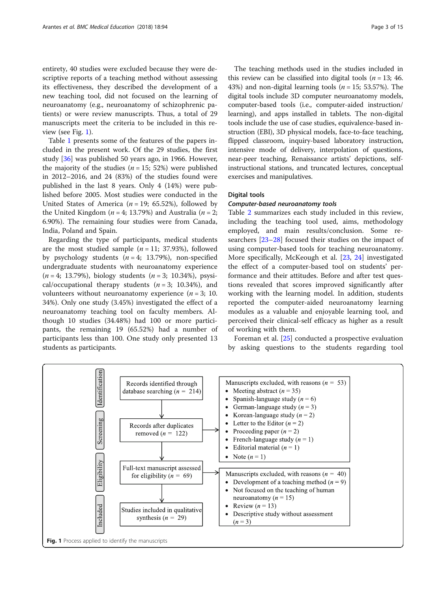entirety, 40 studies were excluded because they were descriptive reports of a teaching method without assessing its effectiveness, they described the development of a new teaching tool, did not focused on the learning of neuroanatomy (e.g., neuroanatomy of schizophrenic patients) or were review manuscripts. Thus, a total of 29 manuscripts meet the criteria to be included in this review (see Fig. 1).

Table [1](#page-3-0) presents some of the features of the papers included in the present work. Of the 29 studies, the first study [[36\]](#page-13-0) was published 50 years ago, in 1966. However, the majority of the studies ( $n = 15$ ; 52%) were published in 2012–2016, and 24 (83%) of the studies found were published in the last 8 years. Only 4 (14%) were published before 2005. Most studies were conducted in the United States of America ( $n = 19$ ; 65.52%), followed by the United Kingdom ( $n = 4$ ; 13.79%) and Australia ( $n = 2$ ; 6.90%). The remaining four studies were from Canada, India, Poland and Spain.

Regarding the type of participants, medical students are the most studied sample  $(n = 11; 37.93%)$ , followed by psychology students  $(n = 4; 13.79%)$ , non-specified undergraduate students with neuroanatomy experience  $(n = 4; 13.79\%)$ , biology students  $(n = 3; 10.34\%)$ , psysical/occupational therapy students  $(n = 3; 10.34\%)$ , and volunteers without neuroanatomy experience  $(n = 3; 10)$ . 34%). Only one study (3.45%) investigated the effect of a neuroanatomy teaching tool on faculty members. Although 10 studies (34.48%) had 100 or more participants, the remaining 19 (65.52%) had a number of participants less than 100. One study only presented 13 students as participants.

The teaching methods used in the studies included in this review can be classified into digital tools ( $n = 13$ ; 46. 43%) and non-digital learning tools ( $n = 15$ ; 53.57%). The digital tools include 3D computer neuroanatomy models, computer-based tools (i.e., computer-aided instruction/ learning), and apps installed in tablets. The non-digital tools include the use of case studies, equivalence-based instruction (EBI), 3D physical models, face-to-face teaching, flipped classroom, inquiry-based laboratory instruction, intensive mode of delivery, interpolation of questions, near-peer teaching, Renaissance artists' depictions, selfinstructional stations, and truncated lectures, conceptual exercises and manipulatives.

## Digital tools

## Computer-based neuroanatomy tools

Table [2](#page-4-0) summarizes each study included in this review, including the teaching tool used, aims, methodology employed, and main results/conclusion. Some researchers [\[23](#page-13-0)–[28\]](#page-13-0) focused their studies on the impact of using computer-based tools for teaching neuroanatomy. More specifically, McKeough et al. [[23](#page-13-0), [24](#page-13-0)] investigated the effect of a computer-based tool on students' performance and their attitudes. Before and after test questions revealed that scores improved significantly after working with the learning model. In addition, students reported the computer-aided neuroanatomy learning modules as a valuable and enjoyable learning tool, and perceived their clinical-self efficacy as higher as a result of working with them.

Foreman et al. [[25\]](#page-13-0) conducted a prospective evaluation by asking questions to the students regarding tool

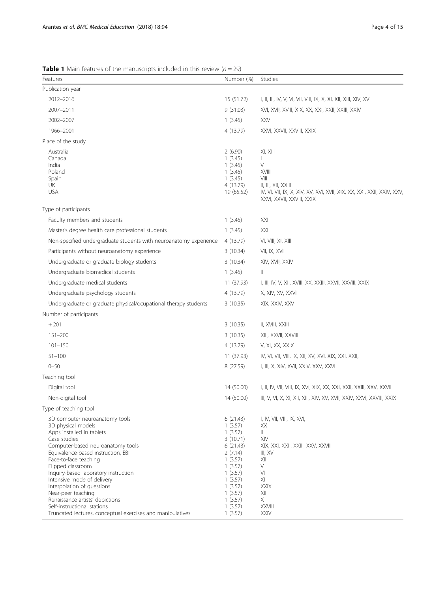<span id="page-3-0"></span>**Table 1** Main features of the manuscripts included in this review  $(n = 29)$ 

| Features                                                                                                                                                                                                                                                                                                                                                                                                                                                                             | Number (%)                                                                                                                                                           | Studies                                                                                                                                                                                     |
|--------------------------------------------------------------------------------------------------------------------------------------------------------------------------------------------------------------------------------------------------------------------------------------------------------------------------------------------------------------------------------------------------------------------------------------------------------------------------------------|----------------------------------------------------------------------------------------------------------------------------------------------------------------------|---------------------------------------------------------------------------------------------------------------------------------------------------------------------------------------------|
| Publication year                                                                                                                                                                                                                                                                                                                                                                                                                                                                     |                                                                                                                                                                      |                                                                                                                                                                                             |
| 2012-2016                                                                                                                                                                                                                                                                                                                                                                                                                                                                            | 15 (51.72)                                                                                                                                                           |                                                                                                                                                                                             |
| 2007-2011                                                                                                                                                                                                                                                                                                                                                                                                                                                                            | 9(31.03)                                                                                                                                                             | XVI, XVII, XVIII, XIX, XX, XXI, XXII, XXIII, XXIV                                                                                                                                           |
| 2002-2007                                                                                                                                                                                                                                                                                                                                                                                                                                                                            | 1(3.45)                                                                                                                                                              | <b>XXV</b>                                                                                                                                                                                  |
| 1966-2001                                                                                                                                                                                                                                                                                                                                                                                                                                                                            | 4 (13.79)                                                                                                                                                            | XXVI, XXVII, XXVIII, XXIX                                                                                                                                                                   |
| Place of the study                                                                                                                                                                                                                                                                                                                                                                                                                                                                   |                                                                                                                                                                      |                                                                                                                                                                                             |
| Australia<br>Canada<br>India<br>Poland<br>Spain<br>UK<br>USA                                                                                                                                                                                                                                                                                                                                                                                                                         | 2(6.90)<br>1(3.45)<br>1(3.45)<br>1(3.45)<br>1(3.45)<br>4 (13.79)<br>19 (65.52)                                                                                       | XI, XIII<br>ı<br>V<br>XVIII<br>VIII<br>II, III, XII, XXIII<br>XXVI, XXVII, XXVIII, XXIX                                                                                                     |
| Type of participants                                                                                                                                                                                                                                                                                                                                                                                                                                                                 |                                                                                                                                                                      |                                                                                                                                                                                             |
| Faculty members and students                                                                                                                                                                                                                                                                                                                                                                                                                                                         | 1(3.45)                                                                                                                                                              | XXII                                                                                                                                                                                        |
| Master's degree health care professional students                                                                                                                                                                                                                                                                                                                                                                                                                                    | 1(3.45)                                                                                                                                                              | XXI                                                                                                                                                                                         |
| Non-specified undergraduate students with neuroanatomy experience                                                                                                                                                                                                                                                                                                                                                                                                                    | 4 (13.79)                                                                                                                                                            | VI, VIII, XI, XIII                                                                                                                                                                          |
| Participants without neuroanatomy experience                                                                                                                                                                                                                                                                                                                                                                                                                                         | 3(10.34)                                                                                                                                                             | VII, IX, XVI                                                                                                                                                                                |
| Undergraduate or graduate biology students                                                                                                                                                                                                                                                                                                                                                                                                                                           | 3(10.34)                                                                                                                                                             | XIV, XVII, XXIV                                                                                                                                                                             |
| Undergraduate biomedical students                                                                                                                                                                                                                                                                                                                                                                                                                                                    | 1(3.45)                                                                                                                                                              | $\parallel$                                                                                                                                                                                 |
| Undergraduate medical students                                                                                                                                                                                                                                                                                                                                                                                                                                                       | 11 (37.93)                                                                                                                                                           | I, III, IV, V, XII, XVIII, XX, XXIII, XXVII, XXVIII, XXIX                                                                                                                                   |
| Undergraduate psychology students                                                                                                                                                                                                                                                                                                                                                                                                                                                    | 4 (13.79)                                                                                                                                                            | X, XIV, XV, XXVI                                                                                                                                                                            |
| Undergraduate or graduate physical/ocupational therapy students                                                                                                                                                                                                                                                                                                                                                                                                                      | 3(10.35)                                                                                                                                                             | XIX, XXIV, XXV                                                                                                                                                                              |
| Number of participants                                                                                                                                                                                                                                                                                                                                                                                                                                                               |                                                                                                                                                                      |                                                                                                                                                                                             |
| $+201$                                                                                                                                                                                                                                                                                                                                                                                                                                                                               | 3(10.35)                                                                                                                                                             | II, XVIII, XXIII                                                                                                                                                                            |
| $151 - 200$                                                                                                                                                                                                                                                                                                                                                                                                                                                                          | 3(10.35)                                                                                                                                                             | XIII, XXVII, XXVIII                                                                                                                                                                         |
| $101 - 150$                                                                                                                                                                                                                                                                                                                                                                                                                                                                          | 4 (13.79)                                                                                                                                                            | V, XI, XX, XXIX                                                                                                                                                                             |
| $51 - 100$                                                                                                                                                                                                                                                                                                                                                                                                                                                                           | 11 (37.93)                                                                                                                                                           |                                                                                                                                                                                             |
| $0 - 50$                                                                                                                                                                                                                                                                                                                                                                                                                                                                             | 8 (27.59)                                                                                                                                                            | I, III, X, XIV, XVII, XXIV, XXV, XXVI                                                                                                                                                       |
| Teaching tool                                                                                                                                                                                                                                                                                                                                                                                                                                                                        |                                                                                                                                                                      |                                                                                                                                                                                             |
| Digital tool                                                                                                                                                                                                                                                                                                                                                                                                                                                                         | 14 (50.00)                                                                                                                                                           |                                                                                                                                                                                             |
| Non-digital tool                                                                                                                                                                                                                                                                                                                                                                                                                                                                     | 14 (50.00)                                                                                                                                                           | III, V, VI, X, XI, XII, XIII, XIV, XV, XVII, XXIV, XXVI, XXVIII, XXIX                                                                                                                       |
| Type of teaching tool                                                                                                                                                                                                                                                                                                                                                                                                                                                                |                                                                                                                                                                      |                                                                                                                                                                                             |
| 3D computer neuroanatomy tools<br>3D physical models<br>Apps installed in tablets<br>Case studies<br>Computer-based neuroanatomy tools<br>Equivalence-based instruction, EBI<br>Face-to-face teaching<br>Flipped classroom<br>Inquiry-based laboratory instruction<br>Intensive mode of delivery<br>Interpolation of questions<br>Near-peer teaching<br>Renaissance artists' depictions<br>Self-instructional stations<br>Truncated lectures, conceptual exercises and manipulatives | 6(21.43)<br>1(3.57)<br>1(3.57)<br>3(10.71)<br>6(21.43)<br>2(7.14)<br>1(3.57)<br>1(3.57)<br>1(3.57)<br>1(3.57)<br>1(3.57)<br>1(3.57)<br>1(3.57)<br>1(3.57)<br>1(3.57) | I, IV, VII, VIII, IX, XVI,<br>XХ<br>$\mathbb{I}$<br>XIV<br>XIX, XXI, XXII, XXIII, XXV, XXVII<br>III, XV<br>XIII<br>V<br>VI<br>XI<br><b>XXIX</b><br>XII<br>Χ<br><b>XXVIII</b><br><b>XXIV</b> |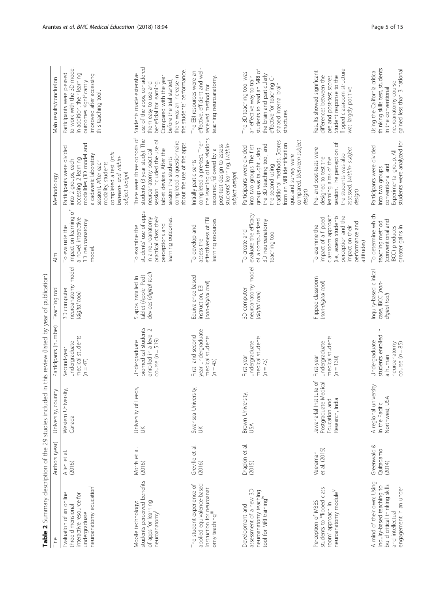<span id="page-4-0"></span>

| Title                                                                                                                                   | Authors (year)                     | University, country                                                                 | Participants (number)                                                                 | Teaching tool                                                        | Aim                                                                                                                                                              | Methodology                                                                                                                                                                                                                                                      | Main results/conclusion                                                                                                                                                                                                     |
|-----------------------------------------------------------------------------------------------------------------------------------------|------------------------------------|-------------------------------------------------------------------------------------|---------------------------------------------------------------------------------------|----------------------------------------------------------------------|------------------------------------------------------------------------------------------------------------------------------------------------------------------|------------------------------------------------------------------------------------------------------------------------------------------------------------------------------------------------------------------------------------------------------------------|-----------------------------------------------------------------------------------------------------------------------------------------------------------------------------------------------------------------------------|
| neuroanatomy education<br>Evaluation of an online<br>interactive resource for<br>three-dimensional<br>undergraduate                     | Allen et al<br>(2016)              | Western University,<br>Canada                                                       | medical students<br>undergraduate<br>Second-year<br>$(n = 47)$                        | neuroanatomy model<br>3D computer<br>(digital tool)                  | đ<br>impact on learning<br>a novel, interactive<br>3D neuroanatomy<br>To evaluate the<br>model                                                                   | and<br>Participants were divided<br>completed a test. (mix<br>modalities (3D model<br>a cadaveric laboratory<br>between- and within-<br>into 2 groups, each<br>accessing 2 learning<br>session). After each<br>modality, students<br>subject design)             | to work with the 3D model<br>Participants were pleased<br>In addition, their learning<br>improved after accessing<br>outcomes significantly<br>this teaching tool.                                                          |
| students perceived benefits<br>of apps for learning<br>Mobile technology:<br>neuroanatomy <sup>"</sup>                                  | Morris et al.<br>(2016)            | eeds,<br>University of Le<br>UK                                                     | biomedical students<br>enrolled in a level 2<br>course $(n = 519)$<br>Undergraduate   | devices (digital tool)<br>tablet (Apple iPad)<br>5 apps installed in | students' use of apps<br>practical class: their<br>learning outcomes.<br>in a neuroanatomy<br>perceptions and<br>To examine the                                  | There were three cohorts of<br>students (3-year study). The<br>đ<br>completed a questionnaire<br>about the use of the apps.<br>session included the use<br>tablet devices. After the<br>neuroanatomy practical<br>session the students                           | use of the apps, considered<br>the students' performance.<br>Students made extensive<br>there was an increase in<br>Compared with the year<br>before the trial started,<br>them easy to use and<br>beneficial for learning. |
| applied equivalence-based<br>The student experience of<br>instruction for neuroanat<br>omy teaching <sup>III</sup>                      | Greville et al.<br>(2016)          | Swansea University,<br>UK                                                           | year undergraduate<br>First- and second-<br>medical students<br>$(n = 43)$            | Equivalence-based<br>(non-digital tool)<br>instruction, EBI          | effectiveness of EBI<br>learning resources.<br>To develop and<br>assess the                                                                                      | the learning of the relations<br>completed a pre-test. Then<br>students' learning. (within-<br>post-test design to assess<br>occurred, followed by a<br>Initially participants<br>subject design)                                                                | effective, efficient and well-<br>The EBI resources were an<br>teaching neuroanatomy.<br>received method for                                                                                                                |
| assessment of a new 3D<br>neuroanatomy teaching<br>tool for MRI training <sup>IV</sup><br>Development and                               | Drapkin et al.<br>(2015)           | Brown University,<br>JSA                                                            | medical students<br>undergraduate<br>First-year<br>$(n = 73)$                         | neuroanatomy model<br>3D computer<br>(digital tool)                  | evaluate the efficacy<br>of a computerized<br>3D neuroanatomy<br>To create and<br>teaching tool                                                                  | traditional methods. Scores<br>compared. (between-subject<br>from an MRI identification<br>the 3D teaching tool, and<br>into two groups. The first<br>Participants were divided<br>group was taught using<br>quiz and survey were<br>the second using<br>design) | students to read an MRI of<br>The 3D teaching tool was<br>the brain and particularly<br>an effective way to train<br>effective for teaching<br>shaped internal brain<br>structures.                                         |
| students to "flipped class<br>neuroanatomy module <sup>y</sup><br>Perception of MBBS<br>room" approach in                               | et al. (2015)<br>Veeramani         | Jawaharlal Institute of<br>Postgraduate Medical<br>Education and<br>Research, India | medical students<br>undergraduate<br>First-year<br>$(n = 130)$                        | Flipped classroom<br>(non-digital tool)                              | classroom approach<br>(i.e., assess students'<br>perception and the<br>impact of a flipped<br>performance and<br>To examine the<br>impact on their<br>attitudes) | session. The perception of<br>Pre- and post-tests were<br>assessed. (within-subject<br>the students was also<br>designed to test the<br>learning aims of the<br>design)                                                                                          | flipped classroom structure<br>Results showed significant<br>differences between the<br>Student response to the<br>pre and post-test scores.<br>was largely positive                                                        |
| A mind of their own: Using<br>inquiry-based teaching to<br>build critical thinking skills<br>engagement in an under<br>and intellectual | Greenwald &<br>Quitadamo<br>(2014) | A regional university<br>Northwest, USA<br>in the Pacific                           | students enrolled in<br>Undergraduate<br>neuroanatomy<br>course $(n = 85)$<br>a human | Inquiry-based clinical<br>case, IBCC (non-<br>digital tool)          | To determine which<br>conventional and<br>teaching method<br>greater gains in<br><b>IBCC</b> ) produces                                                          | students were analyzed for<br>Participants were divided<br>Experimental group. All<br>conventional and<br>into two groups:                                                                                                                                       | thinking skills test, students<br>gained less than 3 national<br>Using the California critical<br>neuroanatomy course<br>in the conventional                                                                                |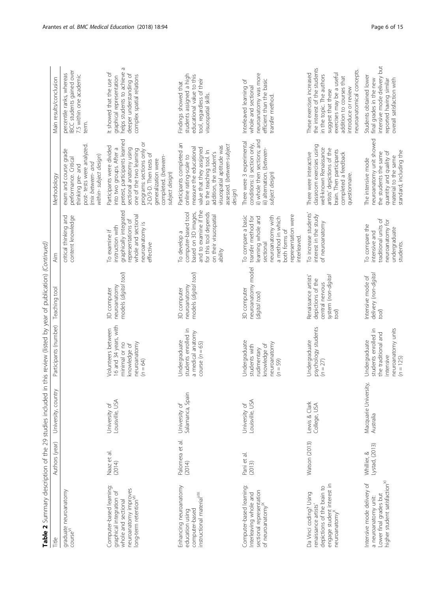| Table 2 Summary description of the 29 studies included in this review (listed by year of publication) (Continued)                          |                               |                                    |                                                                                                                |                                                                                              |                                                                                                                                                                                |                                                                                                                                                                                                                                                                        |                                                                                                                                                                                                                           |
|--------------------------------------------------------------------------------------------------------------------------------------------|-------------------------------|------------------------------------|----------------------------------------------------------------------------------------------------------------|----------------------------------------------------------------------------------------------|--------------------------------------------------------------------------------------------------------------------------------------------------------------------------------|------------------------------------------------------------------------------------------------------------------------------------------------------------------------------------------------------------------------------------------------------------------------|---------------------------------------------------------------------------------------------------------------------------------------------------------------------------------------------------------------------------|
| ÎΕ                                                                                                                                         | Authors (year)                | University, country                | Participants (number)                                                                                          | Teaching tool                                                                                | ξ                                                                                                                                                                              | Methodology                                                                                                                                                                                                                                                            | Main results/conclusion                                                                                                                                                                                                   |
| graduate neuroanatomy<br>course <sup>VI</sup>                                                                                              |                               |                                    |                                                                                                                |                                                                                              | content knowledge<br>critical thinking and                                                                                                                                     | post-tests were analyzed<br>exam and course grade<br>within-subject design)<br>performance. Critical<br>(mix between- and<br>thinking pre-and                                                                                                                          | percentile ranks, whereas<br>IBCC students gained over<br>7.5 within one academic<br>term.                                                                                                                                |
| Computer-based learning:<br>neuroanatomy improves<br>graphical integration of<br>long-term retention <sup>VII</sup><br>whole and sectional | Naaz et al.<br>(2014)         | Louisville, USA<br>University of   | 16 and 34 years, with<br>Volunteers between<br>neuroanatomy<br>minimal or no<br>knowledge of<br>$(n = 64)$     | models (digital tool)<br>neuroanatomy<br>3D computer                                         | graphically integrated<br>whole and sectional<br>representations of<br>neuroanatomy is<br>instruction with<br>To examine if<br>effective                                       | pretest, participants learned<br>programs: sections only or<br>Participants were divided<br>sectional anatomy using<br>into two groups. After a<br>one of the two learning<br>2-D/3-D. Then tests of<br>completed. (between-<br>generalization were<br>subject design) | G<br>helps students to achieve<br>It showed that the use of<br>deeper understanding of<br>complex spatial relations<br>graphical representation                                                                           |
| Enhancing neuroanatomy<br>instructional material <sup>VIII</sup><br>education using<br>computer-based                                      | Palomera et al.<br>(2014)     | Salamanca, Spain<br>University of  | students enrolled in<br>a medical anatomy<br>Undergraduate<br>course $(n = 65)$                                | models (digital tool)<br>neuroanatomy<br>3D computer                                         | and to examine if the<br>based on 3D images,<br>for this tool depends<br>computer-based tool<br>on their visuospatial<br>To develop a<br>ability                               | Participants completed an<br>assessed. (between-subject<br>visuospatial aptitude was<br>measure the educational<br>value that they assigned<br>to the teaching tool. In<br>addition, the student's<br>online rating-scale to<br>design)                                | students assigned a high<br>educational value to this<br>tool, regardless of their<br>Findings showed that<br>visuospatial skills.                                                                                        |
| Computer-based learning:<br>sectional representation<br>Interleaving whole and<br>of neuroanatomy <sup>IX</sup>                            | Pani et al.<br>(2013)         | Louisville, USA<br>University of   | Undergraduate<br>neuroanatomy<br>knowledge of<br>students with<br>rudimentary<br>$(n = 59)$                    | neuroanatomy model<br>3D computer<br>(digital tool)                                          | representation were<br>To compare a basic<br>neuroanatomy with<br>transfer method for<br>learning whole and<br>a method in which<br>both forms of<br>interleaved.<br>sectional | ii) whole then sections; and<br>There were 3 experimental<br>conditions: i) section only,<br>iii) alternation. (between-<br>subject design)                                                                                                                            | neuroanatomy was more<br>efficient than the basic<br>Interleaved learning of<br>whole and sectional<br>transfer method                                                                                                    |
| engage student interest in<br>depictions of the brain to<br>Da Vinci coding? Using<br>renaissance artists'<br>neuroanatomy <sup>X</sup>    | Watson (2013)                 | Lewis & Clark<br>College, USA      | psychology students<br>(n = 27)<br>Undergraduate                                                               | Renaissance artists'<br>system (non-digital<br>depictions of the<br>central nervous<br>tool) | To increase students'<br>interest in the study<br>of neuroanatomy                                                                                                              | classroom exercises using<br>well-known Renaissance<br>artists' depictions of the<br>brain. Then participants<br>There were interactive<br>completed a feedback<br>questionnaire.                                                                                      | the interest of the students<br>neuroanatomical concepts.<br>These exercises increased<br>exercises may be a useful<br>in the topic. The authors<br>addition to courses that<br>introduce or review<br>suggest that these |
| higher student satisfaction <sup>XI</sup><br>Intensive mode delivery of<br>Lower final grades but<br>a neuroanatomy unit:                  | Lystad, (2013)<br>Whillier, & | Macquarie University,<br>Australia | neuroanatomy units<br>students enrolled in<br>the traditional and<br>Undergraduate<br>intensive<br>$(n = 125)$ | delivery (non-digital<br>Intensive mode of<br>tool)                                          | traditional units of<br>neuroanatomy for<br>To compare the<br>undergraduate<br>intensive and<br>students.                                                                      | neuroanatomy unit showed<br>standard, including the<br>quantity and quality of<br>the students the same<br>material to the same<br>The intensive mode                                                                                                                  | intensive mode delivery but<br>Students obtained lower<br>final grades in the new<br>reported having similar<br>overall satisfaction with                                                                                 |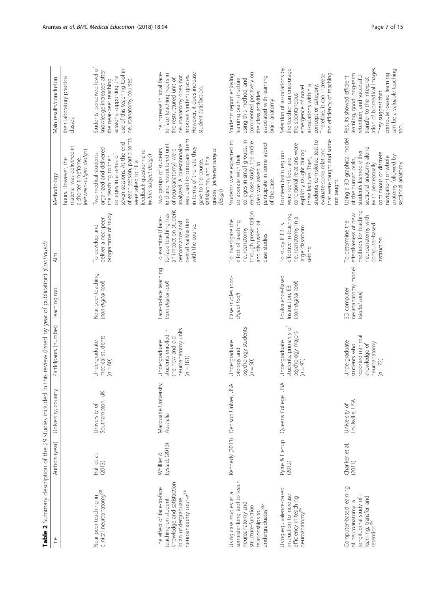| こうこうじつつ<br>> minimizy                                                                                                                                 |                              | J<br>どこ こうこうご                      |                                                                                                 |                                                             |                                                                                                                                    |                                                                                                                                                                                                                                                              |                                                                                                                                                                                                                                      |
|-------------------------------------------------------------------------------------------------------------------------------------------------------|------------------------------|------------------------------------|-------------------------------------------------------------------------------------------------|-------------------------------------------------------------|------------------------------------------------------------------------------------------------------------------------------------|--------------------------------------------------------------------------------------------------------------------------------------------------------------------------------------------------------------------------------------------------------------|--------------------------------------------------------------------------------------------------------------------------------------------------------------------------------------------------------------------------------------|
| Title                                                                                                                                                 | Authors (year)               | University, country                | Participants (number)                                                                           | Teaching tool                                               | Aim                                                                                                                                | Methodology                                                                                                                                                                                                                                                  | Main results/conclusion                                                                                                                                                                                                              |
|                                                                                                                                                       |                              |                                    |                                                                                                 |                                                             |                                                                                                                                    | material was delivered in<br>(between-subject design)<br>hours. However, the<br>a shorter timeframe.                                                                                                                                                         | their laboratory practical<br>classes.                                                                                                                                                                                               |
| clinical neuroanatomy <sup>XII</sup><br>Near-peer teaching in                                                                                         | Hall et al.<br>(2013)        | Southampton, UK<br>University of   | medical students<br>Undergraduate<br>$(n = 60)$                                                 | Near-peer teaching<br>(non-digital tool)                    | programme of study.<br>deliver a near-peer<br>To develop and                                                                       | of each session, participants<br>seven sessions. At the end<br>organized and delivered<br>feedback questionnaire.<br>Two medical students<br>colleges in a series of<br>(within-subject design)<br>the teaching to their<br>were asked to fill a             | Students' perceived level of<br>Ξ.<br>knowledge increased after<br>use of this teaching tool<br>sessions, supporting the<br>the near-peer teaching<br>neuroanatomy courses.                                                          |
| knowledge and satisfaction<br>The effect of face-to-face<br>neuroanatomy course <sup>XIII</sup><br>in an undergraduate<br>teaching on student         | Lystad, (2013)<br>Whillier & | Macquarie University,<br>Australia | neuroanatomy units<br>students enrolled in<br>the new and old<br>Undergraduate<br>$(n = 181)$   | Face-to-face teaching<br>(non-digital tool)                 | an impact on student<br>to-face teaching has<br>To examine if face-<br>overall satisfaction<br>performance and<br>with the course. | was used to compare them<br>(old and restructured unit<br>analyzed. A questionnaire<br>in terms of the rate they<br>Two groups of students<br>of neuroanatomy) were<br>grades. (between-subject<br>satisfaction, and final<br>gave to the course,<br>design) | However, it does increase<br>The increase in total face-<br>to-face teaching hours in<br>neuroanatomy does not<br>improve student grades.<br>the restructured unit of<br>student satisfaction.                                       |
| semester-long tool to teach<br>Using case studies as a<br>neuroanatomy and<br>undergraduates <sup>XIV</sup><br>structure-function<br>relationships to | Kennedy (2013)               | Denison Univer, USA                | psychology students<br>Undergraduate<br>biology and<br>$(n = 50)$                               | Case studies (non-<br>digital tool                          | through presentation<br>To investigate the<br>effect of teaching<br>and discussion of<br>neuroanatomy<br>case studies.             | Students were expected to<br>colleges in small groups. In<br>each case study, the entire<br>participate in some aspect<br>collaborate with their<br>class was asked to<br>of the case.                                                                       | commented positively on<br>Students report enjoying<br>associated with learning<br>learning brain structure<br>using this method, and<br>the class activities<br>brain anatomy.                                                      |
| Using equivalence-based<br>instruction to increase<br>efficiency in teaching<br>neuroanatomy <sup>xy</sup>                                            | Pytte & Fienup<br>(2012)     | Queens College, USA                | students, primarily of<br>psychology majors<br>Undergraduate<br>$(n = 93)$                      | Equivalence-Based<br>(non-digital tool)<br>Instruction, EBI | effective in teaching<br>neuroanatomy in a<br>To study if EBI is<br>large classroom<br>setting                                     | that were taught and some<br>students completed test to<br>conditional relations were<br>evaluate some relations<br>explicitly taught during<br>Fourteen brain regions<br>were identified, and<br>three lectures. Then,<br>not taught.                       | Selection of associations by<br>the teacher can encourage<br>the efficiency of teaching.<br>Therefore, it can increase<br>associations within a<br>concept or category.<br>emergence of novel<br>the spontaneous                     |
| Computer-based learning<br>learning, transfer, and<br>retention <sup>XVI</sup><br>longitudinal study of<br>of neuroanatomy: a                         | Chariker et al.<br>(2011)    | Louisville, USA<br>University of   | reported minimal<br>Undergraduate<br>neuroanatomy<br>students who<br>knowledge of<br>$(n = 72)$ | neuroanatomy model<br>3D computer<br>(digital tool)         | methods for teaching<br>To determine the<br>effectiveness of new<br>neuroanatomy with<br>computer-based<br>instruction             | Using a 3D graphical model<br>sectional anatomy alone<br>students learned either<br>continuous or discrete<br>anatomy followed by<br>navigation) or whole<br>of the human brain,<br>(with perceptually<br>sectional anatomy.                                 | ation of biomedical images.<br>can be a valuable teaching<br>computer-based learning<br>learning, good long-term<br>retention, and successful<br>Results showed efficient<br>transfer to the interpret<br>They suggest that<br>tool. |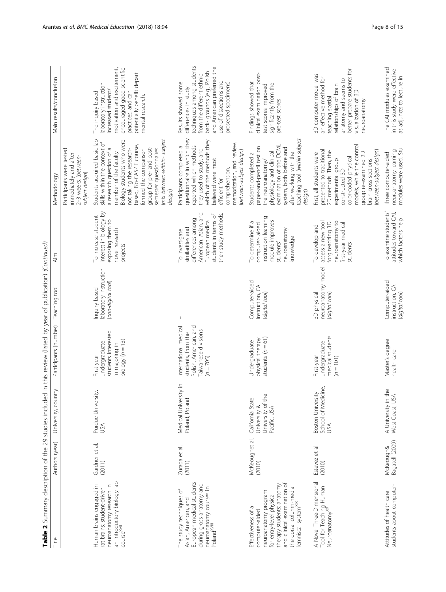| Table 2 Summary description of the 29 studies included in this review (listed by year of publication) (Continued)                                                                                                   |                              |                                                                            |                                                                                                            |                                                               |                                                                                                                                                     |                                                                                                                                                                                                                                                                                                                                     |                                                                                                                                                                                                                     |
|---------------------------------------------------------------------------------------------------------------------------------------------------------------------------------------------------------------------|------------------------------|----------------------------------------------------------------------------|------------------------------------------------------------------------------------------------------------|---------------------------------------------------------------|-----------------------------------------------------------------------------------------------------------------------------------------------------|-------------------------------------------------------------------------------------------------------------------------------------------------------------------------------------------------------------------------------------------------------------------------------------------------------------------------------------|---------------------------------------------------------------------------------------------------------------------------------------------------------------------------------------------------------------------|
| Title                                                                                                                                                                                                               | Authors (year)               | University, country                                                        | Participants (number)                                                                                      | Teaching tool                                                 | λim                                                                                                                                                 | Methodology                                                                                                                                                                                                                                                                                                                         | Main results/conclusion                                                                                                                                                                                             |
|                                                                                                                                                                                                                     |                              |                                                                            |                                                                                                            |                                                               |                                                                                                                                                     | Participants were tested<br>immediately and after<br>2-3 weeks. (between-<br>subject design)                                                                                                                                                                                                                                        |                                                                                                                                                                                                                     |
| an introductory biology lab<br>course <sup>XVII</sup><br>Human brains engaged in<br>neuroanatomy research in<br>rat brains: student-driven                                                                          | Gardner et al.<br>(2011)     | Purdue University,<br>JSA                                                  | students interested<br>biology $(n = 13)$<br>undergraduate<br>in majoring in<br>First-year                 | laboratory instruction<br>(non-digital tool)<br>Inquiry-based | interest in biology by<br>To increase student<br>exposing them to<br>novel research<br>projects                                                     | (mix between-within- subject<br>Students acquired basic lab<br>Biology students who were<br>skills within the context of<br>based, Bio-CASPIE course,<br>a research question of a<br>not taking the research-<br>group for pre- and post-<br>semester questionnaires.<br>formed the comparison<br>member of the faculty.<br>design) | motivation and excitement,<br>encouraged good scientific<br>potentially benefit depart<br>laboratory instruction<br>increased students'<br>practices, and can<br>The inquiry-based<br>mental research.              |
| European medical students<br>during gross anatomy and<br>neuroanatomy courses in<br>Poland <sup>XVIII</sup><br>The study techniques of<br>Asian, American, and                                                      | Zurada et al.<br>(2011)      | Medical University in<br>Poland, Poland                                    | Polish, American, and<br>International medical<br>Taiwanese divisions<br>students, from the<br>$(n = 705)$ |                                                               | American, Asian, and<br>their study methods.<br>students in terms of<br>differences among<br>European medical<br>similarities and<br>To investigate | questionnaire in which they<br>which of the methods they<br>memorization, and review.<br>reported which methods<br>Participants completed a<br>they used to study, and<br>between-subject design)<br>believed were most<br>comprehension,<br>efficient for                                                                          | techniques among students<br>and American preferred the<br>back-grounds (e.g., Polish<br>from the different ethnic<br>use of dissections and<br>Results showed some<br>prosected specimens)<br>differences in study |
| and clinical examination of<br>therapy students: anatomy<br>the dorsal column-medial<br>lemniscal system <sup>XIX</sup><br>neuroanatomy program<br>for entry-level physical<br>Effectiveness of a<br>computer-aided | McKeoughet al.<br>(2010)     | D<br>California State<br>University &<br>University of the<br>Pacific, USA | students $(n = 61)$<br>physical therapy<br>Undergraduate                                                   | Computer-aided<br>instruction, CAI<br>(digital tool)          | instruction learning<br>module improves<br>To determine if a<br>computer-aided<br>neuroanatomy<br>knowledge<br>students'                            | teaching tool (within-subject<br>examination of the DCML<br>paper-and-pencil test on<br>system, both before and<br>physiology and clinical<br>after working with the<br>Students completed a<br>the neuroanatomy/<br>design)                                                                                                        | clinical examination post-<br>Findings showed that<br>significantly from the<br>test scores improved<br>pre-test scores                                                                                             |
| A Novel Three-Dimensional<br>Tool for Teaching Human<br>Neuroanatomy <sup>XX</sup>                                                                                                                                  | Estevez et al.<br>(2010)     | Boston University<br>School of Medicine,<br>USA                            | medical students<br>undergraduate<br>First-year<br>$(n = 101)$                                             | neuroanatomy model<br>(digital tool)<br>3D physical           | assess a new tool<br>neuroanatomy to<br>forg teaching 3D<br>first-year medical<br>To develop and<br>students                                        | models, while the control<br>presented to traditional<br>(between-subject design)<br>2D methods. Then, the<br>group re-examined 2D<br>First, all students were<br>color-coded physical<br>experimental group<br>brain cross-sections.<br>constructed 3D                                                                             | better prepare students for<br>3D computer model was<br>an effective method for<br>anatomy and seems to<br>relationships of brain<br>visualization of 3D<br>teaching spatial<br>neuroanatomy                        |
| students about computer-<br>Attitudes of health care                                                                                                                                                                | Bagatell (2009)<br>McKeough& | the<br>West Coast, USA<br>A University in                                  | Master's degree<br>health care                                                                             | Computer-aided<br>instruction, CAI<br>(digital tool)          | To examine students'<br>attitudes toward CAI,<br>which factors help                                                                                 | modules were used. Stu<br>neuroanatomy learning<br>Three computer-aided                                                                                                                                                                                                                                                             | The CAI modules examined<br>in this study were effective<br>as adjuncts to lecture in                                                                                                                               |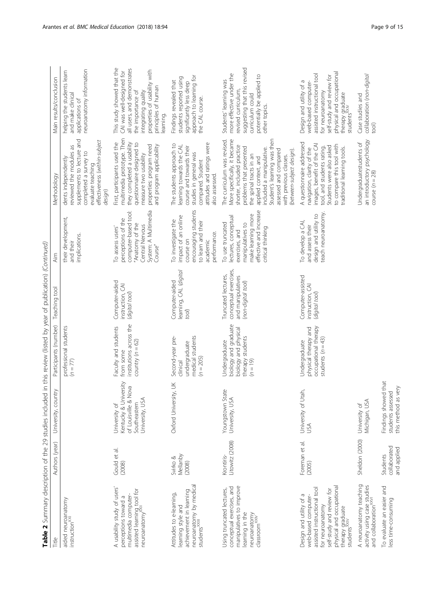| <b>CONSIDERATION CONTROLS OF A STATE OF A STATE OF A STATE OF A STATE OF A STATE OF A STATE OF A STATE OF A STATE OF A STATE OF A STATE OF A STATE OF A STATE OF A STATE OF A STATE OF A STATE OF A STATE OF A STATE OF A STATE </b> |                                         |                                                                                                      |                                                                                                 |                                                                                         |                                                                                                                                                     |                                                                                                                                                                                                                                                                                                                    |                                                                                                                                                                                                             |
|--------------------------------------------------------------------------------------------------------------------------------------------------------------------------------------------------------------------------------------|-----------------------------------------|------------------------------------------------------------------------------------------------------|-------------------------------------------------------------------------------------------------|-----------------------------------------------------------------------------------------|-----------------------------------------------------------------------------------------------------------------------------------------------------|--------------------------------------------------------------------------------------------------------------------------------------------------------------------------------------------------------------------------------------------------------------------------------------------------------------------|-------------------------------------------------------------------------------------------------------------------------------------------------------------------------------------------------------------|
| Title                                                                                                                                                                                                                                | Authors (year)                          | University, country                                                                                  | Participants (number)                                                                           | Teaching tool                                                                           | Aim                                                                                                                                                 | Methodology                                                                                                                                                                                                                                                                                                        | Main results/conclusion                                                                                                                                                                                     |
| aided neuroanatomy<br>instruction <sup>XXI</sup>                                                                                                                                                                                     |                                         |                                                                                                      | professional students<br>(n = 77)                                                               |                                                                                         | their development,<br>implications.<br>and their                                                                                                    | supplements to lecture and<br>effectiveness (within-subject<br>reviewed the modules as<br>completed a survey to<br>dents independently<br>evaluate teaching<br>design)                                                                                                                                             | neuroanatomy information<br>helping the students learn<br>and make clinical<br>applications of                                                                                                              |
| A usability study of users'<br>assisted learning tool for<br>neuroanatomy <sup>XXII</sup><br>multimedia computer-<br>perceptions toward a                                                                                            | Gould et al.<br>(2008)                  | Kentucky & University<br>Nova<br>University, USA<br>of Louisville &<br>Southeastern<br>University of | institutions across the<br>Faculty and students<br>country $(n = 62)$<br>from some              | Computer-aided<br>instruction, CAI<br>(digital tool)                                    | System: A Multimedia<br>computer-based tool:<br>perceptions of the<br>"Anatomy of the<br>Central Nervous<br>To assess users'<br>Course"             | multimedia prototype. Then<br>First, participants used the<br>they completed a usability<br>questionnaire designed to<br>properties: program need<br>and program applicability<br>measure two usability                                                                                                            | This study showed that the<br>all users, and demonstrates<br>properties of usability with<br>CAI was well-designed for<br>principles of human<br>integrating quality<br>the importance of<br>earning.       |
| neuroanatomy by medical<br>students <sup>XXIII</sup><br>achievement in learning<br>Attitudes to e-learning,<br>learning style and                                                                                                    | Mellanby<br>Svirko &<br>(2008)          | Oxford University, UK                                                                                | medical students<br>Second-year pre-<br>undergraduate<br>$(n = 205)$<br>clinical                | learning, CAL (digital<br>Computer-aided<br>(roo)                                       | encouraging students<br>impact of an online<br>To investigate the<br>to learn and their<br>performance.<br>course on<br>academic                    | attitudes and ratings were<br>The students approach to<br>learning towards the CAL<br>course and towards their<br>studies in general was<br>compared. Student<br>also assessed.                                                                                                                                    | approach to learning for<br>students reported using<br>Findings revealed that<br>significantly less deep<br>the CAL course.                                                                                 |
| manipulatives to improve<br>conceptual exercises, and<br>Using truncated lectures,<br>learning in the<br>neuroanatomy<br>classroom <sup>XXIV</sup>                                                                                   | Litowitz (2008)<br>Krontiris-           | Youngstown State<br>University, USA                                                                  | biology and graduate<br>biology and physical<br>therapy students<br>Undergraduate<br>$(n = 19)$ | conceptual exercises,<br>Truncated lectures,<br>and manipulatives<br>(non-digital tool) | effective and increase<br>make learning more<br>lectures, conceptual<br>To use truncated<br>manipulatives to<br>critical thinking<br>exercises, and | Student's learning was then<br>The curriculum was revised.<br>More specifically, it became<br>shorter, included practice<br>problems that presented<br>included a manipulative.<br>assessed and compared<br>(between-subject design).<br>the spinal tracts in an<br>with previous classes.<br>applied context, and | suggesting that this revised<br>more effective under the<br>potentially be applied to<br>Students' learning was<br>revised curriculum,<br>curriculum could<br>other topics.                                 |
| physical and occupational<br>assisted instructional tool<br>self-study and review for<br>Design and utility of a<br>web-based computer-<br>for neuroanatomy<br>therapy graduate<br>students <sup>XXIV</sup>                          | Foreman et al.<br>(2005)                | University of Utah,<br>USA                                                                           | occupational therapy<br>physical therapy and<br>students $(n = 43)$<br>Undergraduate            | Computer-assisted<br>instruction, CAI<br>(digital tool)                                 | teach neuroanatomy.<br>design and utility to<br>To develop a CAI,<br>and assess their                                                               | A questionnaire addressed<br>images, benefit of the CAI<br>to compare this tool with<br>Students were also asked<br>tool, and students rating.<br>traditional learning tools.<br>navigation, clarity of the                                                                                                        | physical and occupational<br>assisted instructional tool<br>self-study and review for<br>Design and utility of a<br>web-based computer-<br>for neuroanatomy<br>therapy graduate<br>students <sup>XXIV</sup> |
| A neuroanatomy teaching<br>activity using case studies<br>and collaboration <sup>XXVI</sup>                                                                                                                                          | Sheldon (2000)                          | Michigan, USA<br>University of                                                                       |                                                                                                 |                                                                                         |                                                                                                                                                     | an introductory psychology<br>Undergraduatestudents of<br>course $(n = 28)$                                                                                                                                                                                                                                        | collaboration (non-digital<br>Case studies and<br>tool)                                                                                                                                                     |
| To evaluate an easier and<br>less time-consuming                                                                                                                                                                                     | collaborated<br>and applied<br>Students | Findings showed that<br>this method as very<br>students assessed                                     |                                                                                                 |                                                                                         |                                                                                                                                                     |                                                                                                                                                                                                                                                                                                                    |                                                                                                                                                                                                             |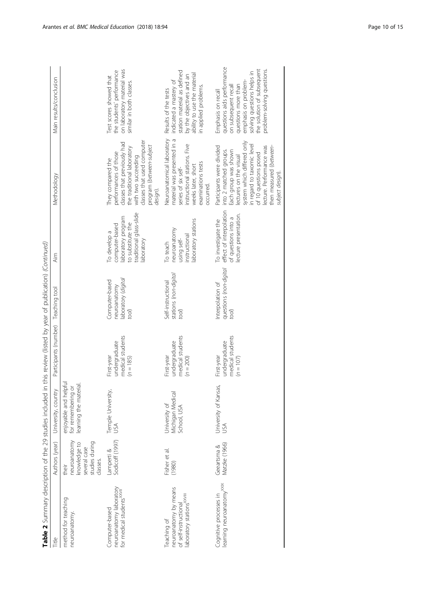| Table 2 Summary description of the 29 studies included in this review (listed by year of publication) (Continued) |                                                                                     |                                                                          |                                                                |                                                                |                                                                                                                   |                                                                                                                                                                                                                                                                       |                                                                                                                                                                                                                   |
|-------------------------------------------------------------------------------------------------------------------|-------------------------------------------------------------------------------------|--------------------------------------------------------------------------|----------------------------------------------------------------|----------------------------------------------------------------|-------------------------------------------------------------------------------------------------------------------|-----------------------------------------------------------------------------------------------------------------------------------------------------------------------------------------------------------------------------------------------------------------------|-------------------------------------------------------------------------------------------------------------------------------------------------------------------------------------------------------------------|
| Title <sup>0</sup>                                                                                                | Authors (year)                                                                      | University, country                                                      | Participants (number)                                          | Teaching tool                                                  | Aim                                                                                                               | Methodology                                                                                                                                                                                                                                                           | Main results/conclusion                                                                                                                                                                                           |
| method for teaching<br>neuroanatomy.                                                                              | neuroanatomy<br>studies during<br>knowledge to<br>several case<br>classes.<br>their | helpful<br>learning the material.<br>for remembering or<br>enjoyable and |                                                                |                                                                |                                                                                                                   |                                                                                                                                                                                                                                                                       |                                                                                                                                                                                                                   |
| neuroanatomy laboratory<br>for medical students <sup>xxv</sup><br>Computer-based                                  | Sodicoff (1997)<br>Lamperti &                                                       | Temple University,<br>USA                                                | medical students<br>undergraduate<br>First-year<br>$(n = 185)$ | laboratory (digital<br>Computer-based<br>neuroanatomy<br>(roo) | traditional glass-slide<br>laboratory program<br>to substitute the<br>computer-based<br>To develop a<br>aboratory | classes that used computer<br>classes that previously had<br>program (between-subject<br>the traditional laboratory<br>performances of those<br>with two succeeding<br>They compared the<br>design).                                                                  | on laboratory material was<br>the students' performance<br>Test scores showed that<br>similar in both classes.                                                                                                    |
| neuroanatomy by means<br>laboratory stations <sup>XXVIII</sup><br>of self-instructional<br>Teaching of            | Fisher et al.<br>(1980)                                                             | Michigan Medical<br>University of<br>School, USA                         | medical students<br>undergraduate<br>First-year<br>$(n = 200)$ | stations (non-digital<br>Self-instructional<br>(roo)           | laboratory stations<br>neuroanatomy<br>instructional<br>using self-<br>To teach                                   | Neuroanatomical laboratory<br>material was presented in a<br>instructional stations. Five<br>examinations tests<br>weeks later, short<br>series of six self-<br>occurred.                                                                                             | station material as defined<br>ability to use the material<br>by the objectives and an<br>indicated a mastery of<br>in applied problems.<br>Results of the tests                                                  |
| learning neuroanatomy <sup>XXIX</sup><br>Cognitive processes in                                                   | Matzke (1966)<br>Geeartsma &                                                        | University of Kansas,<br>SA                                              | medical students<br>undergraduate<br>First-year<br>$(n = 107)$ | questions (non-digital<br>Interpolation of<br>tool)            | effect of interpolation<br>ecture presentation.<br>of questions into a<br>To investigate the                      | system which differed only<br>in regard to taxomic level<br>Participants were divided<br>lecture. Performance was<br>then measured (between-<br>into 2 matched groups.<br>Each group was shown<br>of 10 questions posed<br>lectures on the visual<br>subject design). | questions aids performance<br>the solution of subsequent<br>problem-solving questions.<br>solving questions helps in<br>emphasis on problem-<br>questions more than<br>on subsequent recall<br>Emphasis on recall |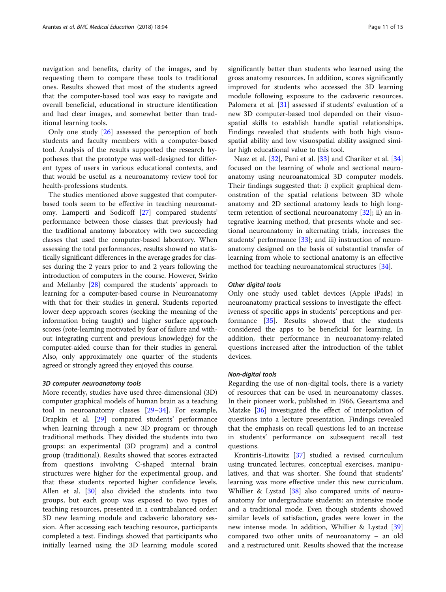navigation and benefits, clarity of the images, and by requesting them to compare these tools to traditional ones. Results showed that most of the students agreed that the computer-based tool was easy to navigate and overall beneficial, educational in structure identification and had clear images, and somewhat better than traditional learning tools.

Only one study [\[26\]](#page-13-0) assessed the perception of both students and faculty members with a computer-based tool. Analysis of the results supported the research hypotheses that the prototype was well-designed for different types of users in various educational contexts, and that would be useful as a neuroanatomy review tool for health-professions students.

The studies mentioned above suggested that computerbased tools seem to be effective in teaching neuroanatomy. Lamperti and Sodicoff [\[27\]](#page-13-0) compared students' performance between those classes that previously had the traditional anatomy laboratory with two succeeding classes that used the computer-based laboratory. When assessing the total performances, results showed no statistically significant differences in the average grades for classes during the 2 years prior to and 2 years following the introduction of computers in the course. However, Svirko and Mellanby [\[28\]](#page-13-0) compared the students' approach to learning for a computer-based course in Neuroanatomy with that for their studies in general. Students reported lower deep approach scores (seeking the meaning of the information being taught) and higher surface approach scores (rote-learning motivated by fear of failure and without integrating current and previous knowledge) for the computer-aided course than for their studies in general. Also, only approximately one quarter of the students agreed or strongly agreed they enjoyed this course.

## 3D computer neuroanatomy tools

More recently, studies have used three-dimensional (3D) computer graphical models of human brain as a teaching tool in neuroanatomy classes [\[29](#page-13-0)–[34](#page-13-0)]. For example, Drapkin et al. [\[29](#page-13-0)] compared students' performance when learning through a new 3D program or through traditional methods. They divided the students into two groups: an experimental (3D program) and a control group (traditional). Results showed that scores extracted from questions involving C-shaped internal brain structures were higher for the experimental group, and that these students reported higher confidence levels. Allen et al. [[30\]](#page-13-0) also divided the students into two groups, but each group was exposed to two types of teaching resources, presented in a contrabalanced order: 3D new learning module and cadaveric laboratory session. After accessing each teaching resource, participants completed a test. Findings showed that participants who initially learned using the 3D learning module scored significantly better than students who learned using the gross anatomy resources. In addition, scores significantly improved for students who accessed the 3D learning module following exposure to the cadaveric resources. Palomera et al. [[31\]](#page-13-0) assessed if students' evaluation of a new 3D computer-based tool depended on their visuospatial skills to establish handle spatial relationships. Findings revealed that students with both high visuospatial ability and low visuospatial ability assigned similar high educational value to this tool.

Naaz et al. [\[32\]](#page-13-0), Pani et al. [\[33\]](#page-13-0) and Chariker et al. [[34](#page-13-0)] focused on the learning of whole and sectional neuroanatomy using neuroanatomical 3D computer models. Their findings suggested that: i) explicit graphical demonstration of the spatial relations between 3D whole anatomy and 2D sectional anatomy leads to high longterm retention of sectional neuroanatomy  $[32]$  $[32]$ ; ii) an integrative learning method, that presents whole and sectional neuroanatomy in alternating trials, increases the students' performance [\[33\]](#page-13-0); and iii) instruction of neuroanatomy designed on the basis of substantial transfer of learning from whole to sectional anatomy is an effective method for teaching neuroanatomical structures [\[34](#page-13-0)].

#### Other digital tools

Only one study used tablet devices (Apple iPads) in neuroanatomy practical sessions to investigate the effectiveness of specific apps in students' perceptions and performance [\[35](#page-13-0)]. Results showed that the students considered the apps to be beneficial for learning. In addition, their performance in neuroanatomy-related questions increased after the introduction of the tablet devices.

### Non-digital tools

Regarding the use of non-digital tools, there is a variety of resources that can be used in neuroanatomy classes. In their pioneer work, published in 1966, Geeartsma and Matzke [\[36](#page-13-0)] investigated the effect of interpolation of questions into a lecture presentation. Findings revealed that the emphasis on recall questions led to an increase in students' performance on subsequent recall test questions.

Krontiris-Litowitz [[37\]](#page-13-0) studied a revised curriculum using truncated lectures, conceptual exercises, manipulatives, and that was shorter. She found that students' learning was more effective under this new curriculum. Whillier & Lystad [\[38](#page-13-0)] also compared units of neuroanatomy for undergraduate students: an intensive mode and a traditional mode. Even though students showed similar levels of satisfaction, grades were lower in the new intense mode. In addition, Whillier & Lystad [[39](#page-13-0)] compared two other units of neuroanatomy – an old and a restructured unit. Results showed that the increase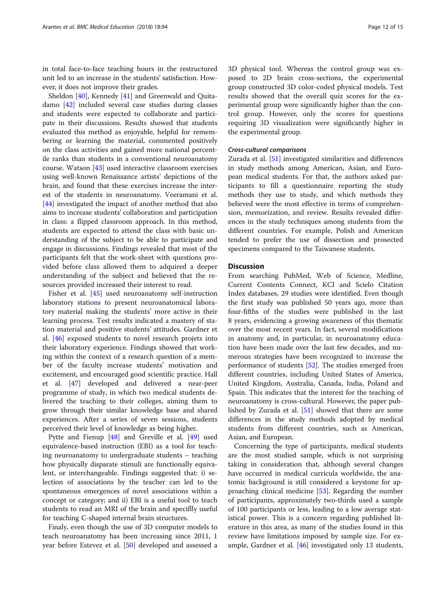in total face-to-face teaching hours in the restructured unit led to an increase in the students' satisfaction. However, it does not improve their grades.

Sheldon [[40\]](#page-13-0), Kennedy [\[41](#page-13-0)] and Greenwald and Quitadamo [\[42](#page-13-0)] included several case studies during classes and students were expected to collaborate and participate in their discussions. Results showed that students evaluated this method as enjoyable, helpful for remembering or learning the material, commented positively on the class activities and gained more national percentile ranks than students in a conventional neuroanatomy course. Watson [[43](#page-13-0)] used interactive classroom exercises using well-known Renaissance artists' depictions of the brain, and found that these exercises increase the interest of the students in neuroanatomy. Veeramani et al. [[44\]](#page-13-0) investigated the impact of another method that also aims to increase students' collaboration and participation in class: a flipped classroom approach. In this method, students are expected to attend the class with basic understanding of the subject to be able to participate and engage in discussions. Findings revealed that most of the participants felt that the work-sheet with questions provided before class allowed them to adquired a deeper understanding of the subject and believed that the resources provided increased their interest to read.

Fisher et al. [[45\]](#page-13-0) used neuroanatomy self-instruction laboratory stations to present neuroanatomical laboratory material making the students' more active in their learning process. Test results indicated a mastery of station material and positive students' attitudes. Gardner et al. [\[46\]](#page-13-0) exposed students to novel research projets into their laboratory experience. Findings showed that working within the context of a research question of a member of the faculty increase students' motivation and excitement, and encouraged good scientific practice. Hall et al. [[47\]](#page-13-0) developed and delivered a near-peer programme of study, in which two medical students delivered the teaching to their colleges, aiming them to grow through their similar knowledge base and shared experiences. After a series of seven sessions, students perceived their level of knowledge as being higher.

Pytte and Fienup [\[48](#page-14-0)] and Greville et al. [[49](#page-14-0)] used equivalence-based instruction (EBI) as a tool for teaching neuroanatomy to undergraduate students – teaching how physically disparate stimuli are functionally equivalent, or interchangeable. Findings suggested that: i) selection of associations by the teacher can led to the spontaneous emergences of novel associations within a concept or category; and ii) EBI is a useful tool to teach students to read an MRI of the brain and speciflly useful for teaching C-shaped internal brain structures.

Finaly, even though the use of 3D computer models to teach neuroanatomy has been increasing since 2011, 1 year before Estevez et al. [\[50\]](#page-14-0) developed and assessed a 3D physical tool. Whereas the control group was exposed to 2D brain cross-sections, the experimental group constructed 3D color-coded physical models. Test results showed that the overall quiz scores for the experimental group were significantly higher than the control group. However, only the scores for questions requiring 3D visualization were significantly higher in the experimental group.

## Cross-cultural comparisons

Zurada et al. [\[51](#page-14-0)] investigated similarities and differences in study methods among American, Asian, and European medical students. For that, the authors asked participants to fill a questionnaire reporting the study methods they use to study, and which methods they believed were the most effective in terms of comprehension, memorization, and review. Results revealed differences in the study techniques among students from the different countries. For example, Polish and American tended to prefer the use of dissection and prosected specimens compared to the Taiwanese students.

### **Discussion**

From searching PubMed, Web of Science, Medline, Current Contents Connect, KCI and Scielo Citation Index databases, 29 studies were identified. Even though the first study was published 50 years ago, more than four-fifths of the studies were published in the last 8 years, evidencing a growing awareness of this thematic over the most recent years. In fact, several modifications in anatomy and, in particular, in neuroanatomy education have been made over the last few decades, and numerous strategies have been recognized to increase the performance of students [[52](#page-14-0)]. The studies emerged from different countries, including United States of America, United Kingdom, Australia, Canada, India, Poland and Spain. This indicates that the interest for the teaching of neuroanatomy is cross-cultural. However, the paper published by Zurada et al. [\[51](#page-14-0)] showed that there are some differences in the study methods adopted by medical students from different countries, such as American, Asian, and European.

Concerning the type of participants, medical students are the most studied sample, which is not surprising taking in consideration that, although several changes have occurred in medical curricula worldwide, the anatomic background is still considered a keystone for approaching clinical medicine [[53\]](#page-14-0). Regarding the number of participants, approximately two-thirds used a sample of 100 participants or less, leading to a low average statistical power. This is a concern regarding published literature in this area, as many of the studies found in this review have limitations imposed by sample size. For example, Gardner et al. [\[46](#page-13-0)] investigated only 13 students,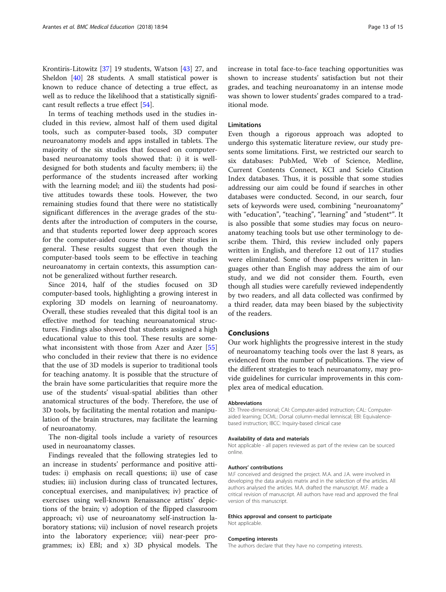Krontiris-Litowitz [[37](#page-13-0)] 19 students, Watson [\[43\]](#page-13-0) 27, and Sheldon [[40\]](#page-13-0) 28 students. A small statistical power is known to reduce chance of detecting a true effect, as well as to reduce the likelihood that a statistically signifi-cant result reflects a true effect [\[54](#page-14-0)].

In terms of teaching methods used in the studies included in this review, almost half of them used digital tools, such as computer-based tools, 3D computer neuroanatomy models and apps installed in tablets. The majority of the six studies that focused on computerbased neuroanatomy tools showed that: i) it is welldesigned for both students and faculty members; ii) the performance of the students increased after working with the learning model; and iii) the students had positive attitudes towards these tools. However, the two remaining studies found that there were no statistically significant differences in the average grades of the students after the introduction of computers in the course, and that students reported lower deep approach scores for the computer-aided course than for their studies in general. These results suggest that even though the computer-based tools seem to be effective in teaching neuroanatomy in certain contexts, this assumption cannot be generalized without further research.

Since 2014, half of the studies focused on 3D computer-based tools, highlighting a growing interest in exploring 3D models on learning of neuroanatomy. Overall, these studies revealed that this digital tool is an effective method for teaching neuroanatomical structures. Findings also showed that students assigned a high educational value to this tool. These results are some-what inconsistent with those from Azer and Azer [[55](#page-14-0)] who concluded in their review that there is no evidence that the use of 3D models is superior to traditional tools for teaching anatomy. It is possible that the structure of the brain have some particularities that require more the use of the students' visual-spatial abilities than other anatomical structures of the body. Therefore, the use of 3D tools, by facilitating the mental rotation and manipulation of the brain structures, may facilitate the learning of neuroanatomy.

The non-digital tools include a variety of resources used in neuroanatomy classes.

Findings revealed that the following strategies led to an increase in students' performance and positive attitudes: i) emphasis on recall questions; ii) use of case studies; iii) inclusion during class of truncated lectures, conceptual exercises, and manipulatives; iv) practice of exercises using well-known Renaissance artists' depictions of the brain; v) adoption of the flipped classroom approach; vi) use of neuroanatomy self-instruction laboratory stations; vii) inclusion of novel research projets into the laboratory experience; viii) near-peer programmes; ix) EBI; and x) 3D physical models. The

increase in total face-to-face teaching opportunities was shown to increase students' satisfaction but not their grades, and teaching neuroanatomy in an intense mode was shown to lower students' grades compared to a traditional mode.

#### **Limitations**

Even though a rigorous approach was adopted to undergo this systematic literature review, our study presents some limitations. First, we restricted our search to six databases: PubMed, Web of Science, Medline, Current Contents Connect, KCI and Scielo Citation Index databases. Thus, it is possible that some studies addressing our aim could be found if searches in other databases were conducted. Second, in our search, four sets of keywords were used, combining "neuroanatomy" with "education", "teaching", "learning" and "student\*". It is also possible that some studies may focus on neuroanatomy teaching tools but use other terminology to describe them. Third, this review included only papers written in English, and therefore 12 out of 117 studies were eliminated. Some of those papers written in languages other than English may address the aim of our study, and we did not consider them. Fourth, even though all studies were carefully reviewed independently by two readers, and all data collected was confirmed by a third reader, data may been biased by the subjectivity of the readers.

## Conclusions

Our work highlights the progressive interest in the study of neuroanatomy teaching tools over the last 8 years, as evidenced from the number of publications. The view of the different strategies to teach neuroanatomy, may provide guidelines for curricular improvements in this complex area of medical education.

#### Abbreviations

3D: Three-dimensional; CAI: Computer-aided instruction; CAL: Computeraided learning; DCML: Dorsal column-medial lemniscal; EBI: Equivalencebased instruction; IBCC: Inquiry-based clinical case

#### Availability of data and materials

Not applicable - all papers reviewed as part of the review can be sourced online.

#### Authors' contributions

M.F conceived and designed the project. M.A. and J.A. were involved in developing the data analysis matrix and in the selection of the articles. All authors analysed the articles. M.A. drafted the manuscript. M.F. made a critical revision of manuscript. All authors have read and approved the final version of this manuscript.

#### Ethics approval and consent to participate

Not applicable.

#### Competing interests

The authors declare that they have no competing interests.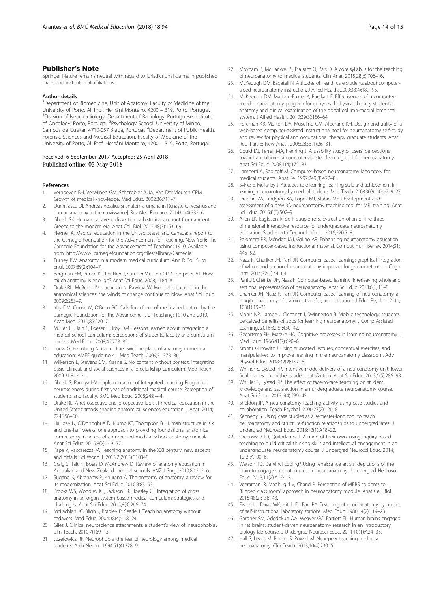## <span id="page-13-0"></span>Publisher's Note

Springer Nature remains neutral with regard to jurisdictional claims in published maps and institutional affiliations.

#### Author details

<sup>1</sup>Department of Biomedicine, Unit of Anatomy, Faculty of Medicine of the University of Porto, Al. Prof. Hernâni Monteiro, 4200 – 319, Porto, Portugal. <sup>2</sup> Division of Neuroradiology, Department of Radiology, Portuguese Institute of Oncology, Porto, Portugal. <sup>3</sup>Psychology School, University of Minho, Campus de Gualtar, 4710-057 Braga, Portugal. <sup>4</sup>Department of Public Health, Forensic Sciences and Medical Education, Faculty of Medicine of the University of Porto, Al. Prof. Hernâni Monteiro, 4200 – 319, Porto, Portugal.

#### Received: 6 September 2017 Accepted: 25 April 2018 Published online: 03 May 2018

#### References

- 1. Verhoeven BH, Verwijnen GM, Scherpbier AJJA, Van Der Vleuten CPM. Growth of medical knowledge. Med Educ. 2002;36:711–7.
- 2. Dumitrascu DI. Andreas Vesalius și anatomia umană în Renaștere. [Vesalius and human anatomy in the renaissance]. Rev Med Romana. 2014;61(4):332–6.
- 3. Ghosh SK. Human cadaveric dissection: a historical account from ancient Greece to the modern era. Anat Cell Biol. 2015;48(3):153–69.
- 4. Flexner A. Medical education in the United States and Canada: a report to the Carnegie Foundation for the Advancement for Teaching. New York: The Carnegie Foundation for the Advancement of Teaching; 1910. Available from: http://www. carnegiefoundation.org/files/elibrary/Carnegie
- 5. Turney BW. Anatomy in a modern medical curriculum. Ann R Coll Surg Engl. 2007;89(2):104–7.
- 6. Bergman EM, Prince KJ, Drukker J, van der Vleuten CP, Scherpbier AJ. How much anatomy is enough? Anat Sci Educ. 2008;1:184–8.
- Drake RL, McBride JM, Lachman N, Pawlina W. Medical education in the anatomical sciences: the winds of change continue to blow. Anat Sci Educ. 2009;2:253–9.
- 8. Irby DM, Cooke M, O'Brien BC. Calls for reform of medical education by the Carnegie Foundation for the Advancement of Teaching: 1910 and 2010. Acad Med. 2010;85:220–7.
- Muller JH, Jain S, Loeser H, Irby DM. Lessons learned about integrating a medical school curriculum: perceptions of students, faculty and curriculum leaders. Med Educ. 2008;42:778–85.
- 10. Louw G, Eizenberg N, Carmichael SW. The place of anatomy in medical education: AMEE guide no 41. Med Teach. 2009;31:373–86.
- 11. Wilkerson L, Stevens CM, Krasne S. No content without context: integrating basic, clinical, and social sciences in a preclerkship curriculum. Med Teach. 2009;31:812–21.
- 12. Ghosh S, Pandya HV. Implementation of Integrated Learning Program in neurosciences during first year of traditional medical course: Perception of students and faculty. BMC Med Educ. 2008;24:8–44.
- 13. Drake RL. A retrospective and prospective look at medical education in the United States: trends shaping anatomical sciences education. J Anat. 2014; 224:256–60.
- 14. Halliday N, O'Donoghue D, Klump KE, Thompson B. Human structure in six and one-half weeks: one approach to providing foundational anatomical competency in an era of compressed medical school anatomy curricula. Anat Sci Educ. 2015;8(2):149–57.
- 15. Papa V, Vaccarezza M. Teaching anatomy in the XXI century: new aspects and pitfalls. Sci World J. 2013;7(2013):310348.
- 16. Craig S, Tait N, Boers D, McAndrew D. Review of anatomy education in Australian and New Zealand medical schools. ANZ J Surg. 2010;80:212–6.
- 17. Sugand K, Abrahams P, Khurana A. The anatomy of anatomy: a review for its modernization. Anat Sci Educ. 2010;3:83–93.
- 18. Brooks WS, Woodley KT, Jackson JR, Hoesley CJ. Integration of gross anatomy in an organ system-based medical curriculum: strategies and challenges. Anat Sci Educ. 2015;8(3):266–74.
- 19. McLachlan JC, Bligh J, Bradley P, Searle J. Teaching anatomy without cadavers. Med Educ. 2004;38(4):418–24.
- 20. Giles J. Clinical neuroscience attachments: a student's view of 'neurophobia'. Clin Teach. 2010;7(1):9–13.
- 21. Jozefowicz RF. Neurophobia: the fear of neurology among medical students. Arch Neurol. 1994;51(4):328–9.
- 22. Moxham B, McHanwell S, Plaisant O, Pais D. A core syllabus for the teaching of neuroanatomy to medical students. Clin Anat. 2015;28(6):706–16.
- 23. McKeough DM, Bagatell N. Attitudes of health care students about computeraided neuroanatomy instruction. J Allied Health. 2009;38(4):189–95.
- 24. McKeough DM, Mattern-Baxter K, Barakatt E. Effectiveness of a computeraided neuroanatomy program for entry-level physical therapy students: anatomy and clinical examination of the dorsal column-medial lemniscal system. J Allied Health. 2010;39(3):156–64.
- 25. Foreman KB, Morton DA, Musolino GM, Albertine KH. Design and utility of a web-based computer-assisted instructional tool for neuroanatomy self-study and review for physical and occupational therapy graduate students. Anat Rec (Part B: New Anat). 2005;285B(1):26–31.
- 26. Gould DJ, Terrell MA, Fleming J. A usability study of users' perceptions toward a multimedia computer-assisted learning tool for neuroanatomy. Anat Sci Educ. 2008;1(4):175–83.
- 27. Lamperti A, Sodicoff M. Computer-based neuroanatomy laboratory for medical students. Anat Re. 1997;249(3):422–8.
- 28. Svirko E, Mellanby J. Attitudes to e-learning, learning style and achievement in learning neuroanatomy by medical students. Med Teach. 2008;30(9–10):e219–27.
- 29. Drapkin ZA, Lindgren KA, Lopez MJ, Stabio ME. Development and assessment of a new 3D neuroanatomy teaching tool for MRI training. Anat Sci Educ. 2015;8(6):502–9.
- 30. Allen LK, Eagleson R, de Ribaupierre S. Evaluation of an online threedimensional interactive resource for undergraduate neuroanatomy education. Stud Health Technol Inform. 2016;220:5–8.
- 31. Palomera PR, Méndez JAJ, Galino AP. Enhancing neuroanatomy education using computer-based instructional material. Comput Hum Behav. 2014;31: 446–52.
- 32. Naaz F, Chariker JH, Pani JR. Computer-based learning: graphical integration of whole and sectional neuroanatomy improves long-term retention. Cogn Instr. 2014;32(1):44–64.
- 33. Pani JR, Chariker JH, Naaz F. Computer-based learning: interleaving whole and sectional representation of neuroanatomy. Anat Sci Educ. 2013;6(1):11–8.
- 34. Chariker JH, Naaz F, Pani JR. Computer-based learning of neuroanatomy: a longitudinal study of learning, transfer, and retention. J Educ Psychol. 2011; 103(1):19–31.
- 35. Morris NP, Lambe J, Cicconet J, Swinnerton B. Mobile technology: students perceived benefits of apps for learning neuroanatomy. J Comp Assisted Learning. 2016;32(5):430–42.
- 36. Geeartsma RH, Matzke HA. Cognitive processes in learning neuroanatomy. J Med Educ. 1966;41(7):690–6.
- 37. Krontiris-Litowitz J. Using truncated lectures, conceptual exercises, and manipulatives to improve learning in the neuroanatomy classroom. Adv Physiol Educ. 2008;32(2):152–6.
- 38. Whillier S, Lystad RP. Intensive mode delivery of a neuroanatomy unit: lower final grades but higher student satisfaction. Anat Sci Educ. 2013;6(5):286–93.
- 39. Whillier S, Lystad RP. The effect of face-to-face teaching on student knowledge and satisfaction in an undergraduate neuroanatomy course. Anat Sci Educ. 2013;6(4):239–45.
- 40. Sheldon JP. A neuroanatomy teaching activity using case studies and collaboration. Teach Psychol. 2000;27(2):126–8.
- 41. Kennedy S. Using case studies as a semester-long tool to teach neuroanatomy and structure-function relationships to undergraduates. J Undergrad Neurosci Educ. 2013;12(1):A18–22.
- 42. Greenwald RR, Quitadamo IJ. A mind of their own: using inquiry-based teaching to build critical thinking skills and intellectual engagement in an undergraduate neuroanatomy course. J Undergrad Neurosci Educ. 2014; 12(2):A100–6.
- 43. Watson TD. Da Vinci coding? Using renaissance artists' depictions of the brain to engage student interest in neuroanatomy. J Undergrad Neurosci Educ. 2013;11(2):A174–7.
- 44. Veeramani R, Madhugirl V, Chand P. Perception of MBBS students to "flipped class room" approach in neuroanatomy module. Anat Cell Biol. 2015;48(2):138–43.
- 45. Fisher LJ, Davis WK, Hitch EJ, Barr PA. Teaching of neuroanatomy by means of self-instructional laboratory stations. Med Educ. 1980;14(2):119–23.
- 46. Gardner SM, Adedokun OA, Weaver GC, Bartlett EL. Human brains engaged in rat brains: student-driven neuroanatomy research in an introductory biology lab course. J Undergrad Neurosci Educ. 2011;10(1):A24–36.
- 47. Hall S, Lewis M, Border S, Powell M. Near-peer teaching in clinical neuroanatomy. Clin Teach. 2013;10(4):230–5.